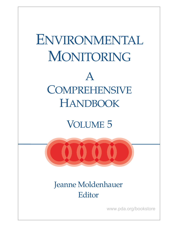

VOLUME 5



Jeanne Moldenhauer Editor

www.pda.org/bookstore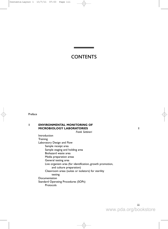# CONTENTS

Preface

# **1 ENVIRONMENTAL MONITORING OF MICROBIOLOGY LABORATORIES 1**

*Frank Settineri*

Introduction **Training** Laboratory Design and Flow Sample receipt area Sample staging and holding area Biohazard waste area Media preparation areas General testing area Live organism area (for identification, growth promotion, and culture preparation) Cleanroom areas (suites or isolators) for sterility testing Documentation Standard Operating Procedures (SOPs) Protocols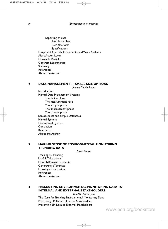Reporting of data Sample number Raw data form Specifications Equipment, Utensils, Instruments, and Work Surfaces Alert/Action Levels Nonviable Particles Contract Laboratories Summary References About the Author

#### **2 DATA MANAGEMENT — SMALL SIZE OPTIONS**

*Jeanne Moldenhauer*

**Introduction** Manual Data Management Systems The define phase The measurement hase The analysis phase The improvement phase The control phase Spreadsheets and Simple Databases Manual Systems Commercial Systems Conclusion References About the Author

## **3 MAKING SENSE OF ENVIRONMENTAL MONITORING TRENDING DATA**

*Dawn McIver*

Tracking vs.Trending Useful Calculations Monthly/Quarterly Results Generating a Template Drawing a Conclusion **References** About the Author

# **4 PRESENTING ENVIRONMENTAL MONITORING DATA TO INTERNAL AND EXTERNAL STAKEHOLDERS**

*Kim Van Antwerpen* The Case for Trending Environmental Monitoring Data Presenting EM Data to Internal Stakeholders Presenting EM Data to External Stakeholders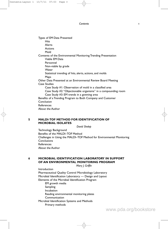| Types of EM Data Presented                                     |
|----------------------------------------------------------------|
| <b>Hits</b>                                                    |
| Alerts                                                         |
| Actions                                                        |
| Mold                                                           |
| Contents of the Environmental Monitoring Trending Presentation |
| Viable EM Data                                                 |
| Personnel                                                      |
| Non-viable by grade                                            |
| Water                                                          |
| Statistical trending of hits, alerts, actions, and molds       |
| Maps                                                           |
| Other Data Presented at an Environmental Review Board Meeting  |
| <b>Case Studies</b>                                            |
| Case Study #1: Observation of mold in a classified area        |
| Case Study #2: "Objectionable organisms" in a compounding room |
| Case Study #3: EM trends in a gowning area                     |
| Benefits of a Trending Program to Both Company and Customer    |
| Conclusion                                                     |
| References                                                     |
| About the Author                                               |
|                                                                |

# **5 MALDI-TOF METHOD FOR IDENTIFICATION OF MICROBIAL ISOLATES**

*David Shelep*

Technology Background Benefits of the MALDI–TOF Method Challenges in Using the MALDI–TOF Method for Environmental Monitoring **Conclusions** References About the Author

**6 MICROBIAL IDENTIFICATION LABORATORY IN SUPPORT OF AN ENVIRONMENTAL MONITORING PROGRAM**

*Mary J. Griffin*

Introduction Pharmaceutical Quality Control Microbiology Laboratory Microbial Identification Laboratory — Design and Layout Elements of the Microbial Identification Program EM growth media Sampling Incubation Reading environmental monitoring plates **Communication** Microbial Identification Systems and Methods Primary methods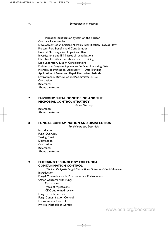Microbial identification system on the horizon Contract Laboratories Development of an Efficient Microbial Identification Process Flow Process Flow Benefits and Consideration Isolated Microorganism Impact and Risk Investigations and EM Microbial Identifications Microbial Identification Laboratory — Training Lean Laboratory Design Considerations Disinfection Program Support — Surface Monitoring Data Microbial Identification Laboratory — Data Trending Application of Novel and Rapid Alternative Methods Environmental Review Council/Committee (ERC) Conclusion References About the Author

## **7 ENVIRONMENTAL MONITORING AND THE MICROBIAL CONTROL STRATEGY**

*Karen Ginsbury*

References About the Author

#### **8 FUNGAL CONTAMINATION AND DISINFECTION**

*Jim Polarine and Dan Klein*

Introduction Fungi Overview Testing Fungi Disinfection Conclusion References About the Author

## **9 EMERGING TECHNOLOGY FOR FUNGAL CONTAMINATION CONTROL**

*Vladimir Podlipskiy, Sergei Bibikov, Brian Hubka and Daniel Kesonen* Introduction Fungal Contamination in Pharmaceutical Environments Other Concerns with Fungi Mycotoxins Types of mycotoxins CDC authorized review Fungi Growth Factors Fungi Contamination Control Environmental Control Physical Methods of Control

www.pda.org/bookstore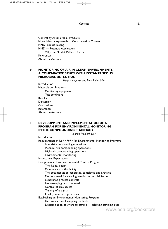*Contents* vii

Control by Antimicrobial Products Novel Natural Approach to Contamination Control MMD Product Testing MMD — Potential Applications Why use Mold & Mildew Doctor? References About the Authors

### **10 MONITORING OF AIR IN CLEAN ENVIRONMENTS — A COMPARATIVE STUDY WITH INSTANTANEOUS MICROBIAL DETECTION**

*Bengt Ljungqvist and Berit Reinmüller*

Introduction Materials and Methods Monitoring equipment Test conditions Results Discussion Conclusions References About the Authors

## **11 DEVELOPMENT AND IMPLEMENTATION OF A PROGRAM FOR ENVIRONMENTAL MONITORING IN THE COMPOUNDING PHARMACY**

*Jeanne Moldenhauer*

Introduction Requirements of USP <797> for Environmental Monitoring Programs Low risk compounding operations Medium risk compounding operations High risk compounding operations Environmental monitoring Inspectional Expectations Components of an Environmental Control Program The facility design Maintenance of the facility The documentation generated, completed and archived Methods used for cleaning, sanitization or disinfection Established process controls Housekeeping practices used Control of area access Training of analysts Quality assurance processes Establishing an Environmental Monitoring Program Determination of sampling methods Determination of where to sample — selecting sampling sites